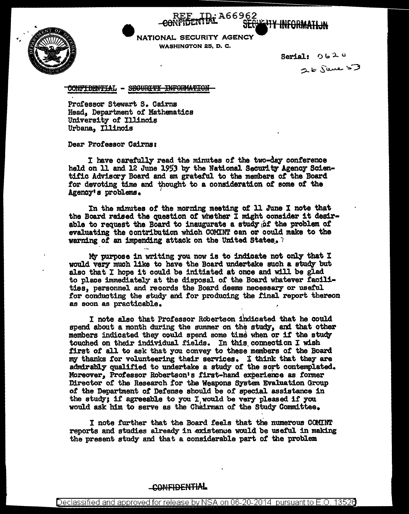

NATIONAL SECURITY AGENCY **WASHINGTON 25, D. C.** 

: A66962

Serial:  $0620$ 26 june 53

**WITH INFORMA** 

CONFIDENTIAL - SEGURITY INFORMATION

Professor Stewart S. Cairns Head. Department of Mathematics University of Illinois Urbana. Illinois

Dear Professor Cairns:

I have carefully read the minutes of the two-day conference held on 11 and 12 June 1953 by the National Security Agency Scientific Advisory Board and am grateful to the members of the Board for devoting time and thought to a consideration of some of the Agency's problems.

In the minutes of the morning meeting of 11 June I note that the Board raised the question of whether I might consider it desirable to request the Board to inaugurate a study of the problem of evaluating the contribution which COMINT can or could make to the warning of an impending attack on the United States. 7

My purpose in writing you now is to indicate not only that I would very much like to have the Board undertake such a study but also that I hope it could be initiated at once and will be glad to place immediately at the disposal of the Board whatever facilities, personnel and records the Board deems necessary or useful for conducting the study and for producing the final report thereon as soon as practicable.

I note also that Professor Robertson indicated that he could spend about a month during the summer on the study, and that other members indicated they could spend some time when or if the study touched on their individual fields. In this connection I wish first of all to ask that you convey to these members of the Board my thanks for volunteering their services. I think that they are admirably qualified to undertake a study of the sort contemplated. Moreover. Professor Robertson's first-hand experience as former Director of the Research for the Weapons System Evaluation Group of the Department of Defense should be of special assistance in the study; if agreeable to you I would be very pleased if you would ask him to serve as the Chairman of the Study Committee.

I note further that the Board feels that the numerous COMINT reports and studies already in existence would be useful in making the present study and that a considerable part of the problem

## CONFIDENTIAL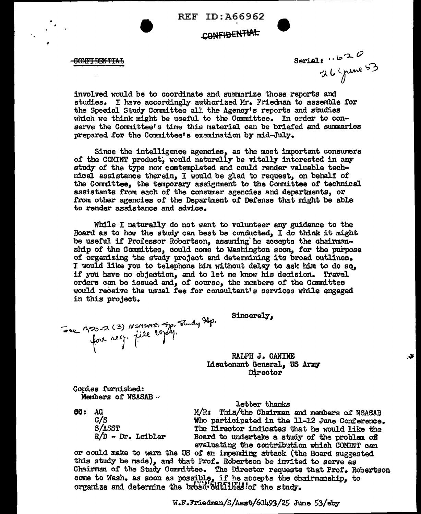REF ID:A66962

## CONFIDENTIAL

<del>-GONFIDENTIAL</del>

Serial:  $1620$ <br> $26$  Spine 53

 $\bullet$ 

involved would be to coordinate and summarize those reports and studies. I have accordingly authorized Mr. Friedman to assemble for the Special Study Committee all the Agency's reports and studies which we think might be useful to the Committee. In order to conserve the Committee's time this material can be briefed and summaries prepared for the Committee's examination by mid-July.

Since the intelligence agencies, as the most important consumers of the COMINT product, would naturally be vitally interested in any study of the type now contemplated and could render valuable technical assistance therein, I would be glad to request, on behalf of the Committee, the temporary assignment to the Committee of technical assistants from each of the consumer agencies and departments, or £rom other agencies *ot* the Department or Defense that might be able to render assistance and advice.

While I naturally do not want to volunteer any guidance to the Board as to how the study can best be conducted, I do think it might be useful if Professor Robertson, assuming"he accepts the chairmanship of the Committee, could come to Washington soon, tor the purpose or organizing the study project and determining its broad outlines. I would like you to telephone him without delay to ask him to do  $sq_i$ if you have no objection, and to let me know his decision. Travel orders can be issued and, 0£ course, the members or the Committee would receive the usual fee £or consultant's services while engaged in this project.

Free A30-2 (3) NSMSARS Jp, Study Ap.

Sincerely,

## RALPH J. CANINE Lieutenant General, US Army Director

Copies furnished: Members of NSASAB ...

66: AG C/S S/ASST  $R/D - Dr.$  Leibler letter thanks

M/R: This/the Chairman and members of NSASAB Vho participated in the 11-12 June Conference. The Director indicates that he would like the Board to undertake a study of the problem of evaluating the contribution which COMINT can

or could make to warn the US of an impending attack (the Board suggested this study be made), and that Prof. Robertson be invited to serve as Chairman of the Study Committee. The Director requests that Prof. Robertson come to Wash. as soon as possible, if he accepts the chairmanship, to organize and determine the broad bullines of the study.

 $W.F.Friedman/S/Asst/60493/25 June 53/eby$